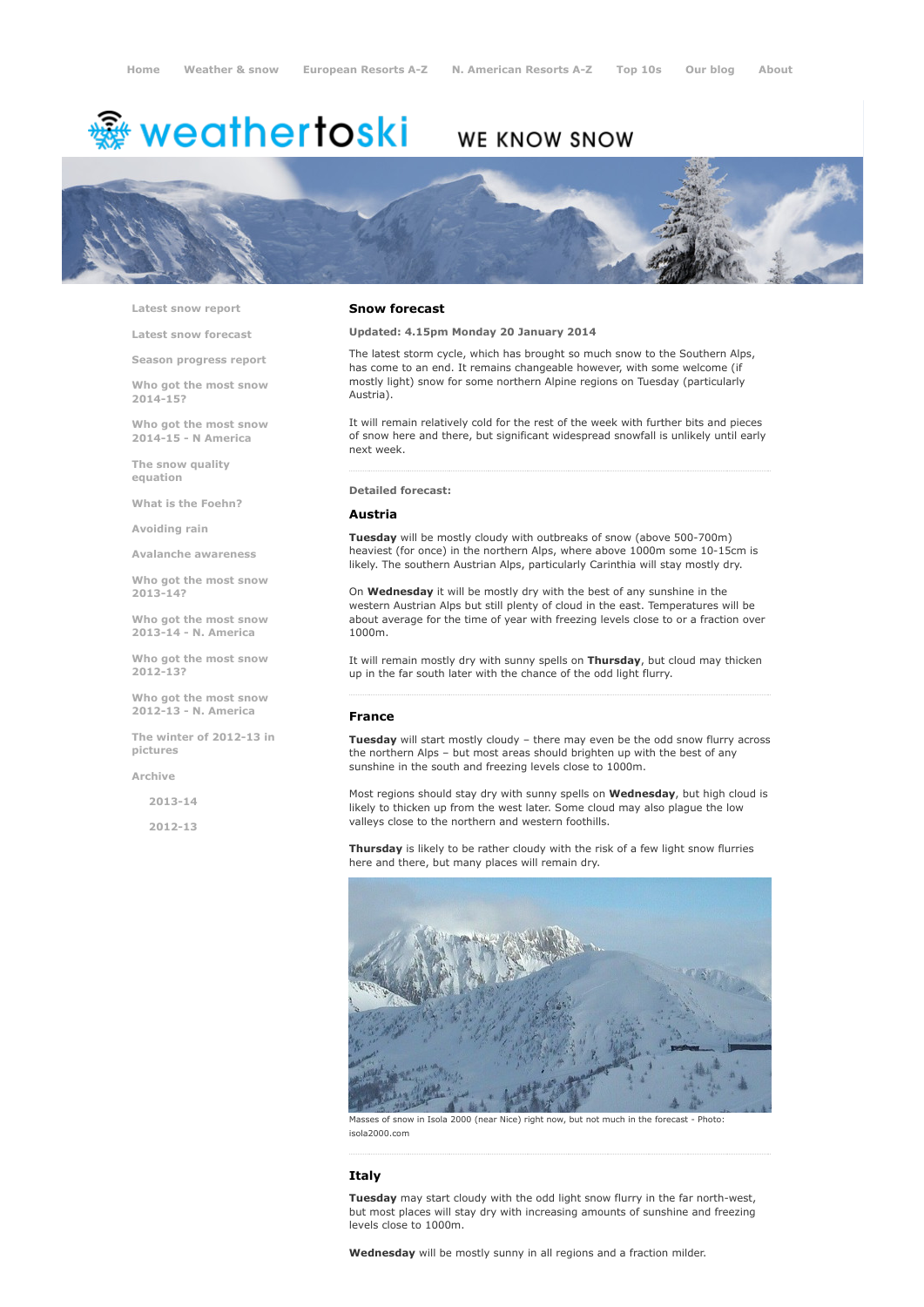# <del>鑾</del> weathertoski

# WE KNOW SNOW



Latest snow [report](http://www.weathertoski.co.uk/weather-snow/latest-snow-report/)

Latest snow [forecast](http://www.weathertoski.co.uk/weather-snow/latest-snow-forecast/)

Season [progress](http://www.weathertoski.co.uk/weather-snow/season-progress-report/) report

Who got the most snow 2014-15?

Who got the most snow 2014-15 - N America

The snow quality [equation](http://www.weathertoski.co.uk/weather-snow/the-snow-quality-equation/)

What is the [Foehn?](http://www.weathertoski.co.uk/weather-snow/what-is-the-foehn/)

[Avoiding](http://www.weathertoski.co.uk/weather-snow/avoiding-rain/) rain

Avalanche [awareness](http://www.weathertoski.co.uk/weather-snow/avalanche-awareness/)

Who got the most snow 2013-14?

Who got the most snow 2013-14 - N. America

Who got the most snow 2012-13?

Who got the most snow 2012-13 - N. America

The winter of 2012-13 in pictures

[Archive](http://www.weathertoski.co.uk/weather-snow/archive/)

2013-14

2012-13

#### Snow forecast

Updated: 4.15pm Monday 20 January 2014

The latest storm cycle, which has brought so much snow to the Southern Alps, has come to an end. It remains changeable however, with some welcome (if mostly light) snow for some northern Alpine regions on Tuesday (particularly Austria).

It will remain relatively cold for the rest of the week with further bits and pieces of snow here and there, but significant widespread snowfall is unlikely until early next week.

#### Detailed forecast:

#### Austria

Tuesday will be mostly cloudy with outbreaks of snow (above 500-700m) heaviest (for once) in the northern Alps, where above 1000m some 10-15cm is likely. The southern Austrian Alps, particularly Carinthia will stay mostly dry.

On **Wednesday** it will be mostly dry with the best of any sunshine in the western Austrian Alps but still plenty of cloud in the east. Temperatures will be about average for the time of year with freezing levels close to or a fraction over 1000m.

It will remain mostly dry with sunny spells on Thursday, but cloud may thicken up in the far south later with the chance of the odd light flurry.

#### France

Tuesday will start mostly cloudy - there may even be the odd snow flurry across the northern Alps – but most areas should brighten up with the best of any sunshine in the south and freezing levels close to 1000m.

Most regions should stay dry with sunny spells on Wednesday, but high cloud is likely to thicken up from the west later. Some cloud may also plague the low valleys close to the northern and western foothills.

Thursday is likely to be rather cloudy with the risk of a few light snow flurries here and there, but many places will remain dry.



Masses of snow in Isola 2000 (near Nice) right now, but not much in the forecast - Photo: isola2000.com

### Italy

Tuesday may start cloudy with the odd light snow flurry in the far north-west, but most places will stay dry with increasing amounts of sunshine and freezing levels close to 1000m.

Wednesday will be mostly sunny in all regions and a fraction milder.